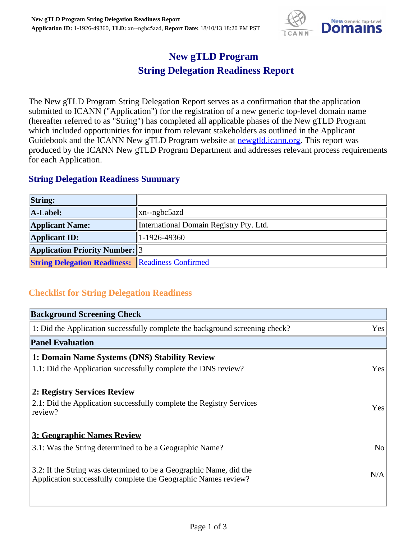

## **New gTLD Program String Delegation Readiness Report**

The New gTLD Program String Delegation Report serves as a confirmation that the application submitted to ICANN ("Application") for the registration of a new generic top-level domain name (hereafter referred to as "String") has completed all applicable phases of the New gTLD Program which included opportunities for input from relevant stakeholders as outlined in the Applicant Guidebook and the ICANN New gTLD Program website at **newgtld.jcann.org**. This report was produced by the ICANN New gTLD Program Department and addresses relevant process requirements for each Application.

## **String Delegation Readiness Summary**

| <b>String:</b>                                          |                                         |
|---------------------------------------------------------|-----------------------------------------|
| A-Label:                                                | $\ $ xn--ngbc5azd                       |
| <b>Applicant Name:</b>                                  | International Domain Registry Pty. Ltd. |
| <b>Applicant ID:</b>                                    | $1-1926-49360$                          |
| <b>Application Priority Number:</b> 3                   |                                         |
| <b>String Delegation Readiness: Readiness Confirmed</b> |                                         |

## **Checklist for String Delegation Readiness**

| <b>Background Screening Check</b>                                            |     |
|------------------------------------------------------------------------------|-----|
| 1: Did the Application successfully complete the background screening check? | Yes |
| <b>Panel Evaluation</b>                                                      |     |
| <b>1: Domain Name Systems (DNS) Stability Review</b>                         |     |
| 1.1: Did the Application successfully complete the DNS review?               | Yes |
| 2: Registry Services Review                                                  |     |
| 2.1: Did the Application successfully complete the Registry Services         |     |
| review?                                                                      | Yes |
| 3: Geographic Names Review                                                   |     |
| 3.1: Was the String determined to be a Geographic Name?                      | No  |
| 3.2: If the String was determined to be a Geographic Name, did the           |     |
| Application successfully complete the Geographic Names review?               | N/A |
|                                                                              |     |
|                                                                              |     |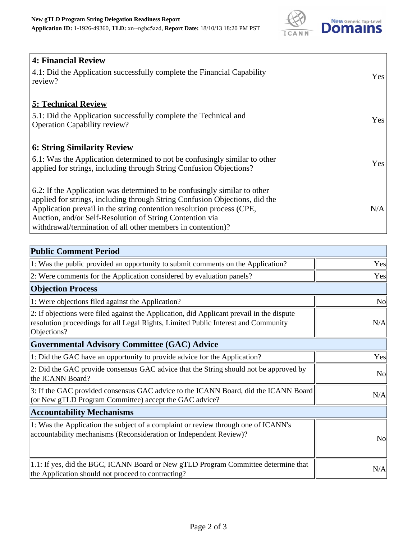

| <b>4: Financial Review</b><br>$\vert$ 4.1: Did the Application successfully complete the Financial Capability |            |
|---------------------------------------------------------------------------------------------------------------|------------|
| review?                                                                                                       | <b>Yes</b> |
| <b>5: Technical Review</b>                                                                                    |            |
| 5.1: Did the Application successfully complete the Technical and                                              | <b>Yes</b> |
| <b>Operation Capability review?</b>                                                                           |            |
| <b>6: String Similarity Review</b>                                                                            |            |
| $\vert$ 6.1: Was the Application determined to not be confusingly similar to other                            | Yes        |
| applied for strings, including through String Confusion Objections?                                           |            |
| $\vert$ 6.2: If the Application was determined to be confusingly similar to other                             |            |
| applied for strings, including through String Confusion Objections, did the                                   |            |
| Application prevail in the string contention resolution process (CPE,                                         | N/A        |
| Auction, and/or Self-Resolution of String Contention via                                                      |            |
| withdrawal/termination of all other members in contention)?                                                   |            |

| <b>Public Comment Period</b>                                                                                                                                                                   |                |
|------------------------------------------------------------------------------------------------------------------------------------------------------------------------------------------------|----------------|
| 1: Was the public provided an opportunity to submit comments on the Application?                                                                                                               | Yes            |
| 2: Were comments for the Application considered by evaluation panels?                                                                                                                          | Yes            |
| <b>Objection Process</b>                                                                                                                                                                       |                |
| 1: Were objections filed against the Application?                                                                                                                                              | <b>No</b>      |
| 2: If objections were filed against the Application, did Applicant prevail in the dispute<br>resolution proceedings for all Legal Rights, Limited Public Interest and Community<br>Objections? | N/A            |
| <b>Governmental Advisory Committee (GAC) Advice</b>                                                                                                                                            |                |
| 1: Did the GAC have an opportunity to provide advice for the Application?                                                                                                                      | Yes            |
| 2: Did the GAC provide consensus GAC advice that the String should not be approved by<br>the ICANN Board?                                                                                      | N <sub>o</sub> |
| 3: If the GAC provided consensus GAC advice to the ICANN Board, did the ICANN Board<br>(or New gTLD Program Committee) accept the GAC advice?                                                  | N/A            |
| <b>Accountability Mechanisms</b>                                                                                                                                                               |                |
| 1: Was the Application the subject of a complaint or review through one of ICANN's<br>accountability mechanisms (Reconsideration or Independent Review)?                                       | No             |
| 1.1: If yes, did the BGC, ICANN Board or New gTLD Program Committee determine that<br>the Application should not proceed to contracting?                                                       | N/A            |